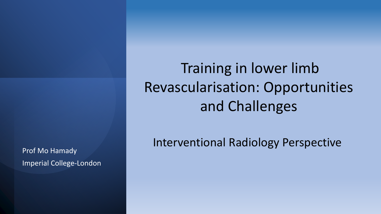Prof Mo Hamady Imperial College-London

Training in lower limb Revascularisation: Opportunities and Challenges

Interventional Radiology Perspective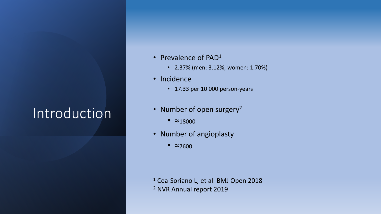## Introduction

- Prevalence of PAD<sup>1</sup>
	- 2.37% (men: 3.12%; women: 1.70%)
- Incidence
	- 17.33 per 10 000 person-years
- Number of open surgery<sup>2</sup>
	- $\approx$  18000
- Number of angioplasty
	- ≈<sup>7600</sup>

<sup>1</sup> Cea-Soriano L, et al. BMJ Open 2018 <sup>2</sup> NVR Annual report 2019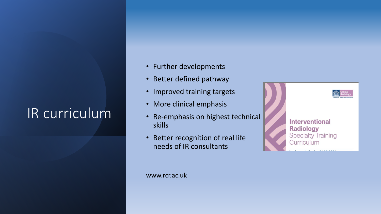## IR curriculum

- Further developments
- Better defined pathway
- Improved training targets
- More clinical emphasis
- Re-emphasis on highest technical skills
- Better recognition of real life needs of IR consultants



**Interventional Radiology Specialty Training** Curriculum

www.rcr.ac.uk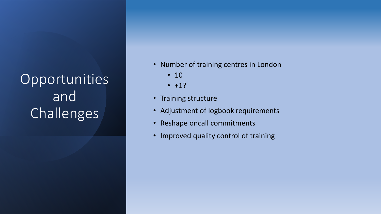## Opportunities and Challenges

- Number of training centres in London
	- 10
	- $+1?$
- Training structure
- Adjustment of logbook requirements
- Reshape oncall commitments
- Improved quality control of training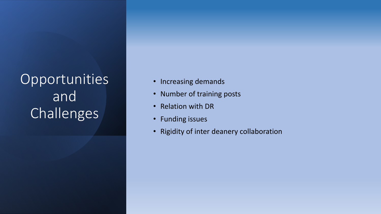Opportunities and Challenges

- Increasing demands
- Number of training posts
- Relation with DR
- Funding issues
- Rigidity of inter deanery collaboration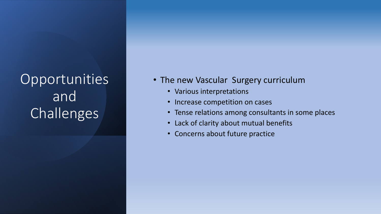## Opportunities and Challenges

- The new Vascular Surgery curriculum
	- Various interpretations
	- Increase competition on cases
	- Tense relations among consultants in some places
	- Lack of clarity about mutual benefits
	- Concerns about future practice